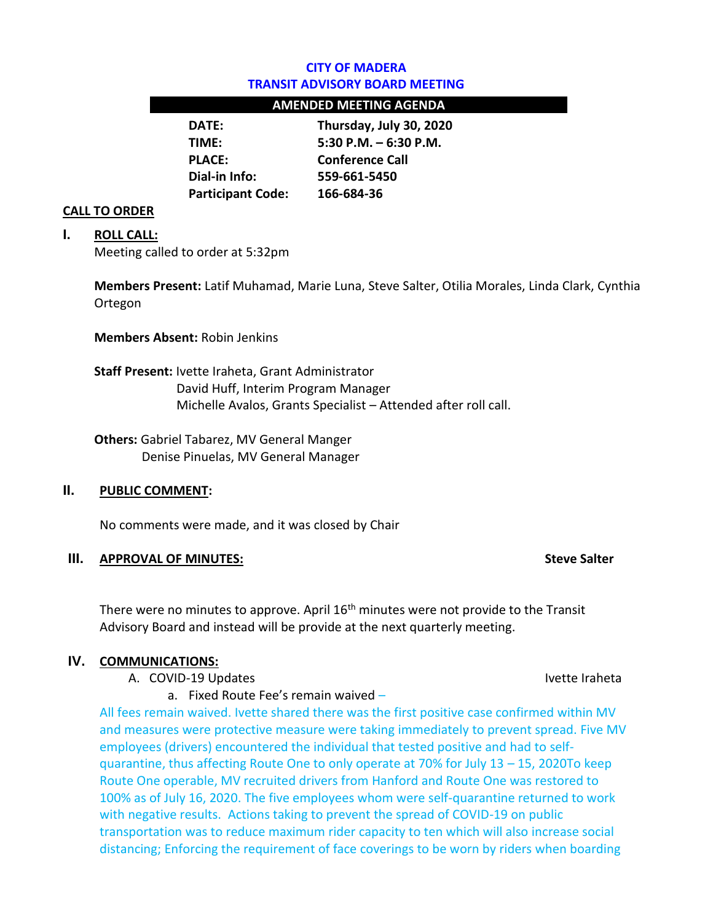### **CITY OF MADERA TRANSIT ADVISORY BOARD MEETING**

### **AMENDED MEETING AGENDA**

| DATE:                    | Thursday, July 30, 2020 |
|--------------------------|-------------------------|
| TIMF:                    | 5:30 P.M. $-6:30$ P.M.  |
| <b>PLACE:</b>            | <b>Conference Call</b>  |
| Dial-in Info:            | 559-661-5450            |
| <b>Participant Code:</b> | 166-684-36              |

#### **CALL TO ORDER**

#### **I. ROLL CALL:**

Meeting called to order at 5:32pm

**Members Present:** Latif Muhamad, Marie Luna, Steve Salter, Otilia Morales, Linda Clark, Cynthia Ortegon

**Members Absent:** Robin Jenkins

**Staff Present:** Ivette Iraheta, Grant Administrator David Huff, Interim Program Manager Michelle Avalos, Grants Specialist – Attended after roll call.

**Others:** Gabriel Tabarez, MV General Manger Denise Pinuelas, MV General Manager

#### **II. PUBLIC COMMENT:**

No comments were made, and it was closed by Chair

#### **III.** APPROVAL OF MINUTES: Steve Salter

There were no minutes to approve. April  $16<sup>th</sup>$  minutes were not provide to the Transit Advisory Board and instead will be provide at the next quarterly meeting.

#### **IV. COMMUNICATIONS:**

A. COVID-19 Updates IVette Iraheta Ivette Iraheta

a. Fixed Route Fee's remain waived –

All fees remain waived. Ivette shared there was the first positive case confirmed within MV and measures were protective measure were taking immediately to prevent spread. Five MV employees (drivers) encountered the individual that tested positive and had to selfquarantine, thus affecting Route One to only operate at 70% for July 13 – 15, 2020To keep Route One operable, MV recruited drivers from Hanford and Route One was restored to 100% as of July 16, 2020. The five employees whom were self-quarantine returned to work with negative results. Actions taking to prevent the spread of COVID-19 on public transportation was to reduce maximum rider capacity to ten which will also increase social distancing; Enforcing the requirement of face coverings to be worn by riders when boarding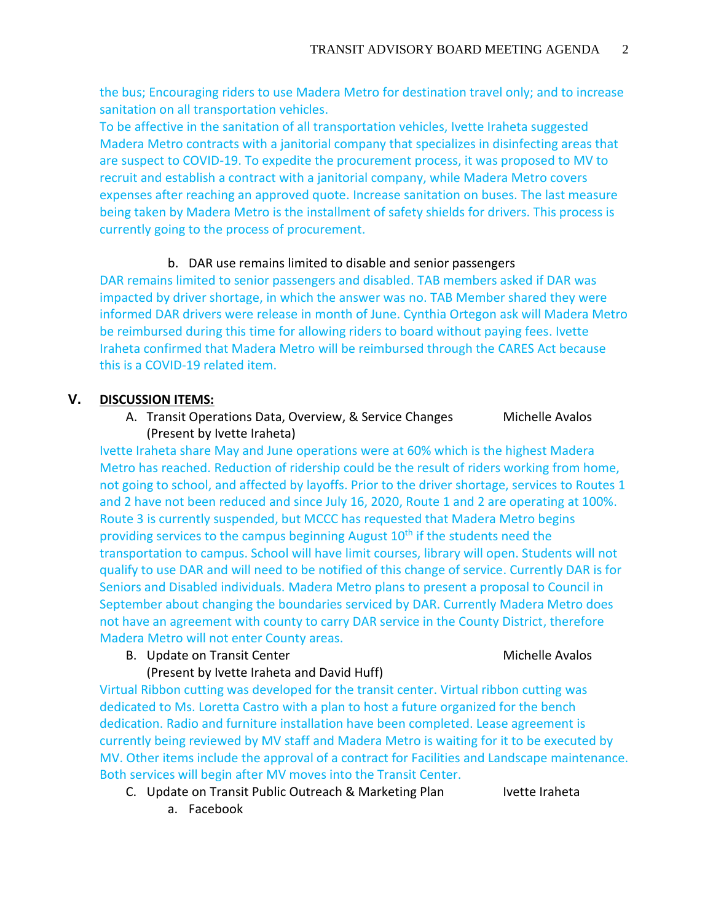the bus; Encouraging riders to use Madera Metro for destination travel only; and to increase sanitation on all transportation vehicles.

To be affective in the sanitation of all transportation vehicles, Ivette Iraheta suggested Madera Metro contracts with a janitorial company that specializes in disinfecting areas that are suspect to COVID-19. To expedite the procurement process, it was proposed to MV to recruit and establish a contract with a janitorial company, while Madera Metro covers expenses after reaching an approved quote. Increase sanitation on buses. The last measure being taken by Madera Metro is the installment of safety shields for drivers. This process is currently going to the process of procurement.

### b. DAR use remains limited to disable and senior passengers

DAR remains limited to senior passengers and disabled. TAB members asked if DAR was impacted by driver shortage, in which the answer was no. TAB Member shared they were informed DAR drivers were release in month of June. Cynthia Ortegon ask will Madera Metro be reimbursed during this time for allowing riders to board without paying fees. Ivette Iraheta confirmed that Madera Metro will be reimbursed through the CARES Act because this is a COVID-19 related item.

# **V. DISCUSSION ITEMS:**

A. Transit Operations Data, Overview, & Service Changes Michelle Avalos (Present by Ivette Iraheta)

Ivette Iraheta share May and June operations were at 60% which is the highest Madera Metro has reached. Reduction of ridership could be the result of riders working from home, not going to school, and affected by layoffs. Prior to the driver shortage, services to Routes 1 and 2 have not been reduced and since July 16, 2020, Route 1 and 2 are operating at 100%. Route 3 is currently suspended, but MCCC has requested that Madera Metro begins providing services to the campus beginning August 10<sup>th</sup> if the students need the transportation to campus. School will have limit courses, library will open. Students will not qualify to use DAR and will need to be notified of this change of service. Currently DAR is for Seniors and Disabled individuals. Madera Metro plans to present a proposal to Council in September about changing the boundaries serviced by DAR. Currently Madera Metro does not have an agreement with county to carry DAR service in the County District, therefore Madera Metro will not enter County areas.

B. Update on Transit Center Michelle Avalos

## (Present by Ivette Iraheta and David Huff)

Virtual Ribbon cutting was developed for the transit center. Virtual ribbon cutting was dedicated to Ms. Loretta Castro with a plan to host a future organized for the bench dedication. Radio and furniture installation have been completed. Lease agreement is currently being reviewed by MV staff and Madera Metro is waiting for it to be executed by MV. Other items include the approval of a contract for Facilities and Landscape maintenance. Both services will begin after MV moves into the Transit Center.

- C. Update on Transit Public Outreach & Marketing Plan Ivette Iraheta
- 

a. Facebook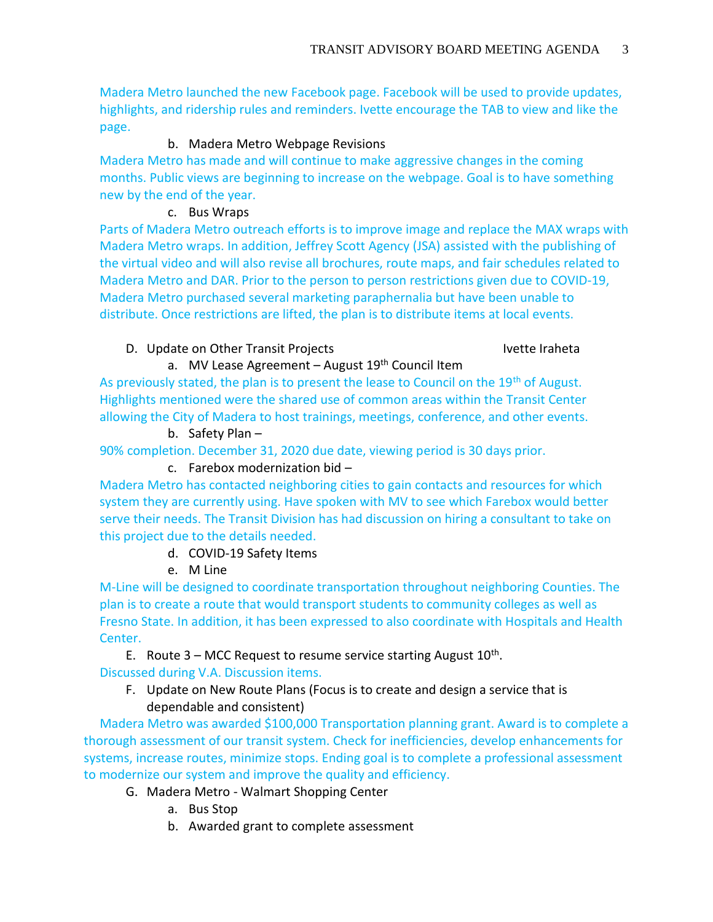Madera Metro launched the new Facebook page. Facebook will be used to provide updates, highlights, and ridership rules and reminders. Ivette encourage the TAB to view and like the page.

# b. Madera Metro Webpage Revisions

Madera Metro has made and will continue to make aggressive changes in the coming months. Public views are beginning to increase on the webpage. Goal is to have something new by the end of the year.

## c. Bus Wraps

Parts of Madera Metro outreach efforts is to improve image and replace the MAX wraps with Madera Metro wraps. In addition, Jeffrey Scott Agency (JSA) assisted with the publishing of the virtual video and will also revise all brochures, route maps, and fair schedules related to Madera Metro and DAR. Prior to the person to person restrictions given due to COVID-19, Madera Metro purchased several marketing paraphernalia but have been unable to distribute. Once restrictions are lifted, the plan is to distribute items at local events.

# D. Update on Other Transit Projects **IVette Iraheta**

# a. MV Lease Agreement - August 19<sup>th</sup> Council Item

As previously stated, the plan is to present the lease to Council on the 19<sup>th</sup> of August. Highlights mentioned were the shared use of common areas within the Transit Center allowing the City of Madera to host trainings, meetings, conference, and other events.

## b. Safety Plan –

90% completion. December 31, 2020 due date, viewing period is 30 days prior.

## c. Farebox modernization bid –

Madera Metro has contacted neighboring cities to gain contacts and resources for which system they are currently using. Have spoken with MV to see which Farebox would better serve their needs. The Transit Division has had discussion on hiring a consultant to take on this project due to the details needed.

## d. COVID-19 Safety Items

e. M Line

M-Line will be designed to coordinate transportation throughout neighboring Counties. The plan is to create a route that would transport students to community colleges as well as Fresno State. In addition, it has been expressed to also coordinate with Hospitals and Health Center.

E. Route  $3$  – MCC Request to resume service starting August  $10^{th}$ . Discussed during V.A. Discussion items.

F. Update on New Route Plans (Focus is to create and design a service that is dependable and consistent)

 Madera Metro was awarded \$100,000 Transportation planning grant. Award is to complete a thorough assessment of our transit system. Check for inefficiencies, develop enhancements for systems, increase routes, minimize stops. Ending goal is to complete a professional assessment to modernize our system and improve the quality and efficiency.

- G. Madera Metro Walmart Shopping Center
	- a. Bus Stop
	- b. Awarded grant to complete assessment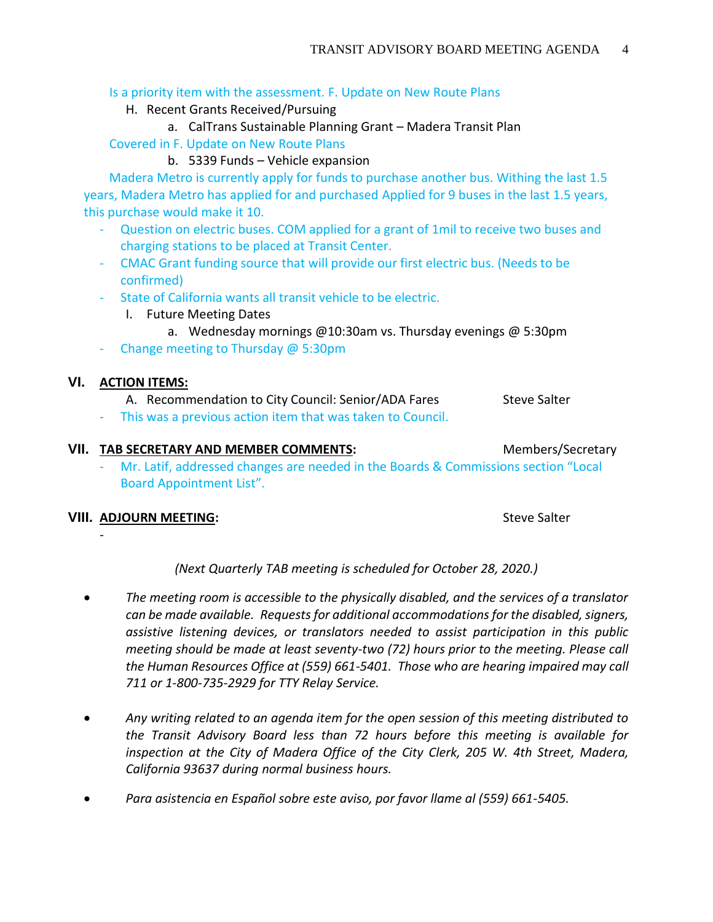### Is a priority item with the assessment. F. Update on New Route Plans

- H. Recent Grants Received/Pursuing
	- a. CalTrans Sustainable Planning Grant Madera Transit Plan

Covered in F. Update on New Route Plans

b. 5339 Funds – Vehicle expansion

 Madera Metro is currently apply for funds to purchase another bus. Withing the last 1.5 years, Madera Metro has applied for and purchased Applied for 9 buses in the last 1.5 years, this purchase would make it 10.

- Question on electric buses. COM applied for a grant of 1mil to receive two buses and charging stations to be placed at Transit Center.
- CMAC Grant funding source that will provide our first electric bus. (Needs to be confirmed)
- State of California wants all transit vehicle to be electric.
	- I. Future Meeting Dates
		- a. Wednesday mornings @10:30am vs. Thursday evenings @ 5:30pm
- Change meeting to Thursday @ 5:30pm

## **VI. ACTION ITEMS:**

- A. Recommendation to City Council: Senior/ADA Fares Steve Salter
- This was a previous action item that was taken to Council.

# **VII. TAB SECRETARY AND MEMBER COMMENTS:** Members/Secretary

Mr. Latif, addressed changes are needed in the Boards & Commissions section "Local Board Appointment List".

## **VIII. ADJOURN MEETING: Steve Salter** Steve Salter

-

*(Next Quarterly TAB meeting is scheduled for October 28, 2020.)*

- *The meeting room is accessible to the physically disabled, and the services of a translator can be made available. Requests for additional accommodations for the disabled, signers, assistive listening devices, or translators needed to assist participation in this public meeting should be made at least seventy-two (72) hours prior to the meeting. Please call the Human Resources Office at (559) 661-5401. Those who are hearing impaired may call 711 or 1-800-735-2929 for TTY Relay Service.*
- *Any writing related to an agenda item for the open session of this meeting distributed to the Transit Advisory Board less than 72 hours before this meeting is available for*  inspection at the City of Madera Office of the City Clerk, 205 W. 4th Street, Madera, *California 93637 during normal business hours.*
- *Para asistencia en Español sobre este aviso, por favor llame al (559) 661-5405.*